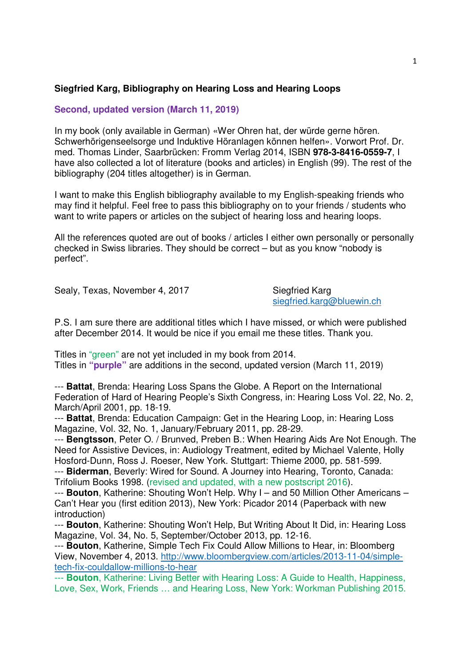## **Siegfried Karg, Bibliography on Hearing Loss and Hearing Loops**

## **Second, updated version (March 11, 2019)**

In my book (only available in German) «Wer Ohren hat, der würde gerne hören. Schwerhörigenseelsorge und Induktive Höranlagen können helfen». Vorwort Prof. Dr. med. Thomas Linder, Saarbrücken: Fromm Verlag 2014, ISBN **978-3-8416-0559-7**, I have also collected a lot of literature (books and articles) in English (99). The rest of the bibliography (204 titles altogether) is in German.

I want to make this English bibliography available to my English-speaking friends who may find it helpful. Feel free to pass this bibliography on to your friends / students who want to write papers or articles on the subject of hearing loss and hearing loops.

All the references quoted are out of books / articles I either own personally or personally checked in Swiss libraries. They should be correct – but as you know "nobody is perfect".

Sealy, Texas, November 4, 2017 Siegfried Karg

siegfried.karg@bluewin.ch

P.S. I am sure there are additional titles which I have missed, or which were published after December 2014. It would be nice if you email me these titles. Thank you.

Titles in "green" are not yet included in my book from 2014. Titles in **"purple"** are additions in the second, updated version (March 11, 2019)

--- **Battat**, Brenda: Hearing Loss Spans the Globe. A Report on the International Federation of Hard of Hearing People's Sixth Congress, in: Hearing Loss Vol. 22, No. 2, March/April 2001, pp. 18-19.

--- **Battat**, Brenda: Education Campaign: Get in the Hearing Loop, in: Hearing Loss Magazine, Vol. 32, No. 1, January/February 2011, pp. 28-29.

--- **Bengtsson**, Peter O. / Brunved, Preben B.: When Hearing Aids Are Not Enough. The Need for Assistive Devices, in: Audiology Treatment, edited by Michael Valente, Holly Hosford-Dunn, Ross J. Roeser, New York. Stuttgart: Thieme 2000, pp. 581-599.

--- **Biderman**, Beverly: Wired for Sound. A Journey into Hearing, Toronto, Canada: Trifolium Books 1998. (revised and updated, with a new postscript 2016).

--- **Bouton**, Katherine: Shouting Won't Help. Why I – and 50 Million Other Americans – Can't Hear you (first edition 2013), New York: Picador 2014 (Paperback with new introduction)

--- **Bouton**, Katherine: Shouting Won't Help, But Writing About It Did, in: Hearing Loss Magazine, Vol. 34, No. 5, September/October 2013, pp. 12-16.

--- **Bouton**, Katherine, Simple Tech Fix Could Allow Millions to Hear, in: Bloomberg View, November 4, 2013. http://www.bloombergview.com/articles/2013-11-04/simpletech-fix-couldallow-millions-to-hear

--- **Bouton**, Katherine: Living Better with Hearing Loss: A Guide to Health, Happiness, Love, Sex, Work, Friends … and Hearing Loss, New York: Workman Publishing 2015.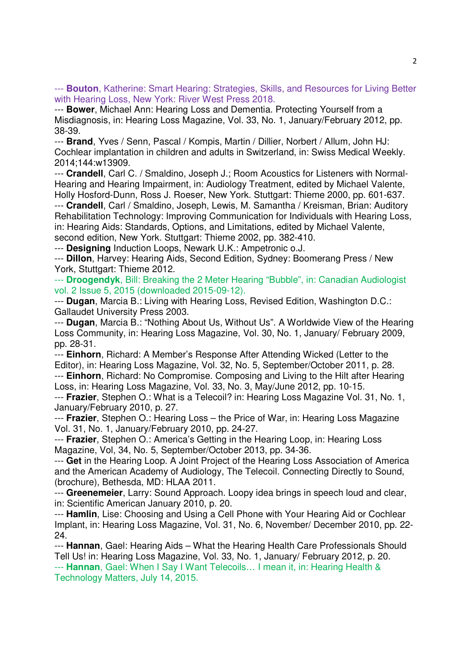--- **Bouton**, Katherine: Smart Hearing: Strategies, Skills, and Resources for Living Better with Hearing Loss, New York: River West Press 2018.

--- **Bower**, Michael Ann: Hearing Loss and Dementia. Protecting Yourself from a Misdiagnosis, in: Hearing Loss Magazine, Vol. 33, No. 1, January/February 2012, pp. 38-39.

--- **Brand**, Yves / Senn, Pascal / Kompis, Martin / Dillier, Norbert / Allum, John HJ: Cochlear implantation in children and adults in Switzerland, in: Swiss Medical Weekly. 2014;144:w13909.

--- **Crandell**, Carl C. / Smaldino, Joseph J.; Room Acoustics for Listeners with Normal-Hearing and Hearing Impairment, in: Audiology Treatment, edited by Michael Valente, Holly Hosford-Dunn, Ross J. Roeser, New York. Stuttgart: Thieme 2000, pp. 601-637.

--- **Crandell**, Carl / Smaldino, Joseph, Lewis, M. Samantha / Kreisman, Brian: Auditory Rehabilitation Technology: Improving Communication for Individuals with Hearing Loss, in: Hearing Aids: Standards, Options, and Limitations, edited by Michael Valente, second edition, New York. Stuttgart: Thieme 2002, pp. 382-410.

--- **Designing** Induction Loops, Newark U.K.: Ampetronic o.J.

--- **Dillon**, Harvey: Hearing Aids, Second Edition, Sydney: Boomerang Press / New York, Stuttgart: Thieme 2012.

--- **Droogendyk**, Bill: Breaking the 2 Meter Hearing "Bubble", in: Canadian Audiologist vol. 2 Issue 5, 2015 (downloaded 2015-09-12).

--- **Dugan**, Marcia B.: Living with Hearing Loss, Revised Edition, Washington D.C.: Gallaudet University Press 2003.

--- **Dugan**, Marcia B.: "Nothing About Us, Without Us". A Worldwide View of the Hearing Loss Community, in: Hearing Loss Magazine, Vol. 30, No. 1, January/ February 2009, pp. 28-31.

--- **Einhorn**, Richard: A Member's Response After Attending Wicked (Letter to the Editor), in: Hearing Loss Magazine, Vol. 32, No. 5, September/October 2011, p. 28.

--- **Einhorn**, Richard: No Compromise. Composing and Living to the Hilt after Hearing Loss, in: Hearing Loss Magazine, Vol. 33, No. 3, May/June 2012, pp. 10-15.

--- **Frazier**, Stephen O.: What is a Telecoil? in: Hearing Loss Magazine Vol. 31, No. 1, January/February 2010, p. 27.

--- **Frazier**, Stephen O.: Hearing Loss – the Price of War, in: Hearing Loss Magazine Vol. 31, No. 1, January/February 2010, pp. 24-27.

--- **Frazier**, Stephen O.: America's Getting in the Hearing Loop, in: Hearing Loss Magazine, Vol, 34, No. 5, September/October 2013, pp. 34-36.

--- **Get** in the Hearing Loop. A Joint Project of the Hearing Loss Association of America and the American Academy of Audiology, The Telecoil. Connecting Directly to Sound, (brochure), Bethesda, MD: HLAA 2011.

--- **Greenemeier**, Larry: Sound Approach. Loopy idea brings in speech loud and clear, in: Scientific American January 2010, p. 20.

--- **Hamlin**, Lise: Choosing and Using a Cell Phone with Your Hearing Aid or Cochlear Implant, in: Hearing Loss Magazine, Vol. 31, No. 6, November/ December 2010, pp. 22- 24.

--- **Hannan**, Gael: Hearing Aids – What the Hearing Health Care Professionals Should Tell Us! in: Hearing Loss Magazine, Vol. 33, No. 1, January/ February 2012, p. 20. --- **Hannan**, Gael: When I Say I Want Telecoils… I mean it, in: Hearing Health & Technology Matters, July 14, 2015.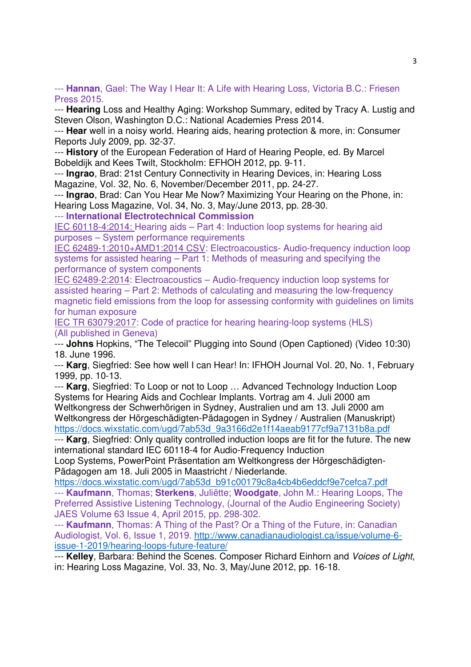--- **Hannan**, Gael: The Way I Hear It: A Life with Hearing Loss, Victoria B.C.: Friesen Press 2015.

--- **Hearing** Loss and Healthy Aging: Workshop Summary, edited by Tracy A. Lustig and Steven Olson, Washington D.C.: National Academies Press 2014.

--- **Hear** well in a noisy world. Hearing aids, hearing protection & more, in: Consumer Reports July 2009, pp. 32-37.

--- **History** of the European Federation of Hard of Hearing People, ed. By Marcel Bobeldijk and Kees Twilt, Stockholm: EFHOH 2012, pp. 9-11.

--- **Ingrao**, Brad: 21st Century Connectivity in Hearing Devices, in: Hearing Loss Magazine, Vol. 32, No. 6, November/December 2011, pp. 24-27.

--- **Ingrao**, Brad: Can You Hear Me Now? Maximizing Your Hearing on the Phone, in: Hearing Loss Magazine, Vol. 34, No. 3, May/June 2013, pp. 28-30.

--- **International Electrotechnical Commission**

IEC 60118-4:2014: Hearing aids – Part 4: Induction loop systems for hearing aid purposes – System performance requirements

IEC 62489-1:2010+AMD1:2014 CSV: Electroacoustics- Audio-frequency induction loop systems for assisted hearing – Part 1: Methods of measuring and specifying the performance of system components

IEC 62489-2:2014: Electroacoustics – Audio-frequency induction loop systems for assisted hearing – Part 2: Methods of calculating and measuring the low-frequency magnetic field emissions from the loop for assessing conformity with guidelines on limits for human exposure

IEC TR 63079:2017: Code of practice for hearing hearing-loop systems (HLS) (All published in Geneva)

--- **Johns** Hopkins, "The Telecoil" Plugging into Sound (Open Captioned) (Video 10:30) 18. June 1996.

--- **Karg**, Siegfried: See how well I can Hear! In: IFHOH Journal Vol. 20, No. 1, February 1999, pp. 10-13.

--- **Karg**, Siegfried: To Loop or not to Loop … Advanced Technology Induction Loop Systems for Hearing Aids and Cochlear Implants. Vortrag am 4. Juli 2000 am Weltkongress der Schwerhörigen in Sydney, Australien und am 13. Juli 2000 am Weltkongress der Hörgeschädigten-Pädagogen in Sydney / Australien (Manuskript) https://docs.wixstatic.com/ugd/7ab53d\_9a3166d2e1f14aeab9177cf9a7131b8a.pdf

--- **Karg**, Siegfried: Only quality controlled induction loops are fit for the future. The new international standard IEC 60118-4 for Audio-Frequency Induction

Loop Systems, PowerPoint Präsentation am Weltkongress der Hörgeschädigten-Pädagogen am 18. Juli 2005 in Maastricht / Niederlande.

https://docs.wixstatic.com/ugd/7ab53d\_b91c00179c8a4cb4b6eddcf9e7cefca7.pdf --- **Kaufmann**, Thomas; **Sterkens**, Juliëtte; **Woodgate**, John M.: Hearing Loops, The Preferred Assistive Listening Technology, (Journal of the Audio Engineering Society) JAES Volume 63 Issue 4, April 2015, pp. 298-302.

--- **Kaufmann**, Thomas: A Thing of the Past? Or a Thing of the Future, in: Canadian Audiologist, Vol. 6, Issue 1, 2019. http://www.canadianaudiologist.ca/issue/volume-6 issue-1-2019/hearing-loops-future-feature/

--- **Kelley**, Barbara: Behind the Scenes. Composer Richard Einhorn and Voices of Light, in: Hearing Loss Magazine, Vol. 33, No. 3, May/June 2012, pp. 16-18.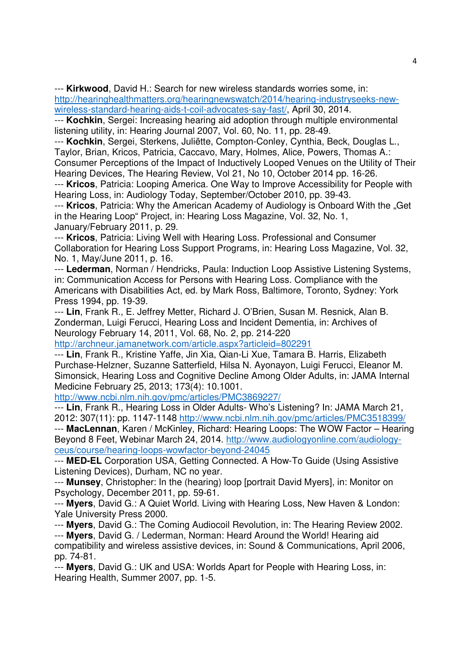--- **Kirkwood**, David H.: Search for new wireless standards worries some, in: http://hearinghealthmatters.org/hearingnewswatch/2014/hearing-industryseeks-newwireless-standard-hearing-aids-t-coil-advocates-say-fast/, April 30, 2014.

--- **Kochkin**, Sergei: Increasing hearing aid adoption through multiple environmental listening utility, in: Hearing Journal 2007, Vol. 60, No. 11, pp. 28-49.

--- **Kochkin**, Sergei, Sterkens, Juliëtte, Compton-Conley, Cynthia, Beck, Douglas L., Taylor, Brian, Kricos, Patricia, Caccavo, Mary, Holmes, Alice, Powers, Thomas A.: Consumer Perceptions of the Impact of Inductively Looped Venues on the Utility of Their

Hearing Devices, The Hearing Review, Vol 21, No 10, October 2014 pp. 16-26.

--- **Kricos**, Patricia: Looping America. One Way to Improve Accessibility for People with Hearing Loss, in: Audiology Today, September/October 2010, pp. 39-43.

--- **Kricos**, Patricia: Why the American Academy of Audiology is Onboard With the "Get in the Hearing Loop" Project, in: Hearing Loss Magazine, Vol. 32, No. 1, January/February 2011, p. 29.

--- **Kricos**, Patricia: Living Well with Hearing Loss. Professional and Consumer Collaboration for Hearing Loss Support Programs, in: Hearing Loss Magazine, Vol. 32, No. 1, May/June 2011, p. 16.

--- **Lederman**, Norman / Hendricks, Paula: Induction Loop Assistive Listening Systems, in: Communication Access for Persons with Hearing Loss. Compliance with the Americans with Disabilities Act, ed. by Mark Ross, Baltimore, Toronto, Sydney: York Press 1994, pp. 19-39.

--- **Lin**, Frank R., E. Jeffrey Metter, Richard J. O'Brien, Susan M. Resnick, Alan B. Zonderman, Luigi Ferucci, Hearing Loss and Incident Dementia, in: Archives of Neurology February 14, 2011, Vol. 68, No. 2, pp. 214-220

http://archneur.jamanetwork.com/article.aspx?articleid=802291

--- **Lin**, Frank R., Kristine Yaffe, Jin Xia, Qian-Li Xue, Tamara B. Harris, Elizabeth Purchase-Helzner, Suzanne Satterfield, Hilsa N. Ayonayon, Luigi Ferucci, Eleanor M. Simonsick, Hearing Loss and Cognitive Decline Among Older Adults, in: JAMA Internal Medicine February 25, 2013; 173(4): 10.1001.

http://www.ncbi.nlm.nih.gov/pmc/articles/PMC3869227/

--- **Lin**, Frank R., Hearing Loss in Older Adults- Who's Listening? In: JAMA March 21, 2012: 307(11): pp. 1147-1148 http://www.ncbi.nlm.nih.gov/pmc/articles/PMC3518399/

--- **MacLennan**, Karen / McKinley, Richard: Hearing Loops: The WOW Factor – Hearing Beyond 8 Feet, Webinar March 24, 2014. http://www.audiologyonline.com/audiologyceus/course/hearing-loops-wowfactor-beyond-24045

--- **MED-EL** Corporation USA, Getting Connected. A How-To Guide (Using Assistive Listening Devices), Durham, NC no year.

--- **Munsey**, Christopher: In the (hearing) loop [portrait David Myers], in: Monitor on Psychology, December 2011, pp. 59-61.

--- **Myers**, David G.: A Quiet World. Living with Hearing Loss, New Haven & London: Yale University Press 2000.

--- **Myers**, David G.: The Coming Audiocoil Revolution, in: The Hearing Review 2002.

--- **Myers**, David G. / Lederman, Norman: Heard Around the World! Hearing aid compatibility and wireless assistive devices, in: Sound & Communications, April 2006, pp. 74-81.

--- **Myers**, David G.: UK and USA: Worlds Apart for People with Hearing Loss, in: Hearing Health, Summer 2007, pp. 1-5.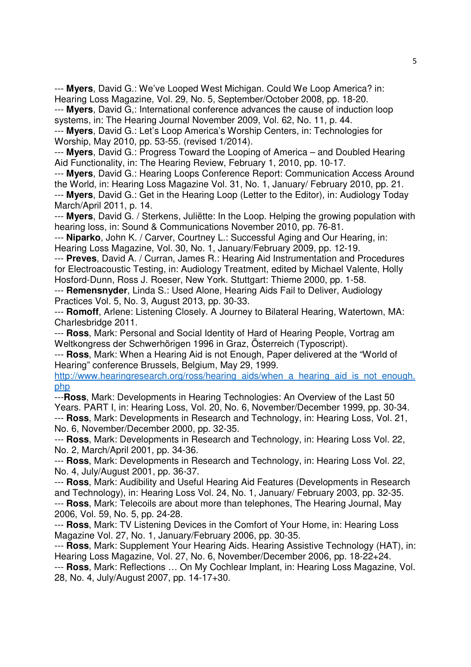--- **Myers**, David G.: We've Looped West Michigan. Could We Loop America? in: Hearing Loss Magazine, Vol. 29, No. 5, September/October 2008, pp. 18-20.

--- **Myers**, David G,: International conference advances the cause of induction loop systems, in: The Hearing Journal November 2009, Vol. 62, No. 11, p. 44.

--- **Myers**, David G.: Let's Loop America's Worship Centers, in: Technologies for Worship, May 2010, pp. 53-55. (revised 1/2014).

--- **Myers**, David G.: Progress Toward the Looping of America – and Doubled Hearing Aid Functionality, in: The Hearing Review, February 1, 2010, pp. 10-17.

--- **Myers**, David G.: Hearing Loops Conference Report: Communication Access Around the World, in: Hearing Loss Magazine Vol. 31, No. 1, January/ February 2010, pp. 21. --- **Myers**, David G.: Get in the Hearing Loop (Letter to the Editor), in: Audiology Today

March/April 2011, p. 14.

--- **Myers**, David G. / Sterkens, Juliëtte: In the Loop. Helping the growing population with hearing loss, in: Sound & Communications November 2010, pp. 76-81.

--- **Niparko**, John K. / Carver, Courtney L.: Successful Aging and Our Hearing, in: Hearing Loss Magazine, Vol. 30, No. 1, January/February 2009, pp. 12-19.

--- **Preves**, David A. / Curran, James R.: Hearing Aid Instrumentation and Procedures for Electroacoustic Testing, in: Audiology Treatment, edited by Michael Valente, Holly Hosford-Dunn, Ross J. Roeser, New York. Stuttgart: Thieme 2000, pp. 1-58.

--- **Remensnyder**, Linda S.: Used Alone, Hearing Aids Fail to Deliver, Audiology Practices Vol. 5, No. 3, August 2013, pp. 30-33.

--- **Romoff**, Arlene: Listening Closely. A Journey to Bilateral Hearing, Watertown, MA: Charlesbridge 2011.

--- **Ross**, Mark: Personal and Social Identity of Hard of Hearing People, Vortrag am Weltkongress der Schwerhörigen 1996 in Graz, Österreich (Typoscript).

--- **Ross**, Mark: When a Hearing Aid is not Enough, Paper delivered at the "World of Hearing" conference Brussels, Belgium, May 29, 1999.

http://www.hearingresearch.org/ross/hearing\_aids/when\_a\_hearing\_aid\_is\_not\_enough. php

---**Ross**, Mark: Developments in Hearing Technologies: An Overview of the Last 50 Years. PART I, in: Hearing Loss, Vol. 20, No. 6, November/December 1999, pp. 30-34. --- **Ross**, Mark: Developments in Research and Technology, in: Hearing Loss, Vol. 21, No. 6, November/December 2000, pp. 32-35.

--- **Ross**, Mark: Developments in Research and Technology, in: Hearing Loss Vol. 22, No. 2, March/April 2001, pp. 34-36.

--- **Ross**, Mark: Developments in Research and Technology, in: Hearing Loss Vol. 22, No. 4, July/August 2001, pp. 36-37.

--- **Ross**, Mark: Audibility and Useful Hearing Aid Features (Developments in Research and Technology), in: Hearing Loss Vol. 24, No. 1, January/ February 2003, pp. 32-35. --- **Ross**, Mark: Telecoils are about more than telephones, The Hearing Journal, May 2006, Vol. 59, No. 5, pp. 24-28.

--- **Ross**, Mark: TV Listening Devices in the Comfort of Your Home, in: Hearing Loss Magazine Vol. 27, No. 1, January/February 2006, pp. 30-35.

--- **Ross**, Mark: Supplement Your Hearing Aids. Hearing Assistive Technology (HAT), in: Hearing Loss Magazine, Vol. 27, No. 6, November/December 2006, pp. 18-22+24.

--- **Ross**, Mark: Reflections … On My Cochlear Implant, in: Hearing Loss Magazine, Vol. 28, No. 4, July/August 2007, pp. 14-17+30.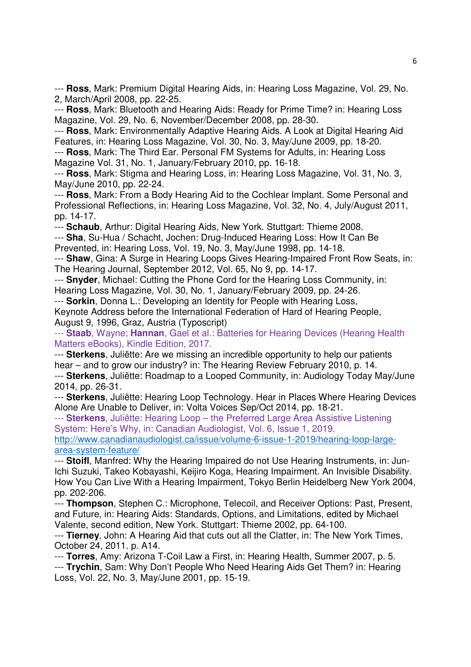--- **Ross**, Mark: Premium Digital Hearing Aids, in: Hearing Loss Magazine, Vol. 29, No. 2, March/April 2008, pp. 22-25.

--- **Ross**, Mark: Bluetooth and Hearing Aids: Ready for Prime Time? in: Hearing Loss Magazine, Vol. 29, No. 6, November/December 2008, pp. 28-30.

--- **Ross**, Mark: Environmentally Adaptive Hearing Aids. A Look at Digital Hearing Aid Features, in: Hearing Loss Magazine, Vol. 30, No. 3, May/June 2009, pp. 18-20.

--- **Ross**, Mark: The Third Ear. Personal FM Systems for Adults, in: Hearing Loss Magazine Vol. 31, No. 1, January/February 2010, pp. 16-18.

--- **Ross**, Mark: Stigma and Hearing Loss, in: Hearing Loss Magazine, Vol. 31, No. 3, May/June 2010, pp. 22-24.

--- **Ross**, Mark: From a Body Hearing Aid to the Cochlear Implant. Some Personal and Professional Reflections, in: Hearing Loss Magazine, Vol. 32, No. 4, July/August 2011, pp. 14-17.

--- **Schaub**, Arthur: Digital Hearing Aids, New York. Stuttgart: Thieme 2008. --- **Sha**, Su-Hua / Schacht, Jochen: Drug-Induced Hearing Loss: How It Can Be

Prevented, in: Hearing Loss, Vol. 19, No. 3, May/June 1998, pp. 14-18.

--- **Shaw**, Gina: A Surge in Hearing Loops Gives Hearing-Impaired Front Row Seats, in: The Hearing Journal, September 2012, Vol. 65, No 9, pp. 14-17.

--- **Snyder**, Michael: Cutting the Phone Cord for the Hearing Loss Community, in: Hearing Loss Magazine, Vol. 30, No. 1, January/February 2009, pp. 24-26.

--- **Sorkin**, Donna L.: Developing an Identity for People with Hearing Loss,

Keynote Address before the International Federation of Hard of Hearing People, August 9, 1996, Graz, Austria (Typoscript)

--- **Staab**, Wayne; **Hannan**, Gael et al.: Batteries for Hearing Devices (Hearing Health Matters eBooks), Kindle Edition, 2017.

--- **Sterkens**, Juliëtte: Are we missing an incredible opportunity to help our patients hear – and to grow our industry? in: The Hearing Review February 2010, p. 14.

--- **Sterkens**, Juliëtte: Roadmap to a Looped Community, in: Audiology Today May/June 2014, pp. 26-31.

--- **Sterkens**, Juliëtte: Hearing Loop Technology. Hear in Places Where Hearing Devices Alone Are Unable to Deliver, in: Volta Voices Sep/Oct 2014, pp. 18-21.

--- **Sterkens**, Juliëtte: Hearing Loop – the Preferred Large Area Assistive Listening System: Here's Why, in: Canadian Audiologist, Vol. 6, Issue 1, 2019.

http://www.canadianaudiologist.ca/issue/volume-6-issue-1-2019/hearing-loop-largearea-system-feature/

--- **Stoifl**, Manfred: Why the Hearing Impaired do not Use Hearing Instruments, in: Jun-Ichi Suzuki, Takeo Kobayashi, Keijiro Koga, Hearing Impairment. An Invisible Disability. How You Can Live With a Hearing Impairment, Tokyo Berlin Heidelberg New York 2004, pp. 202-206.

--- **Thompson**, Stephen C.: Microphone, Telecoil, and Receiver Options: Past, Present, and Future, in: Hearing Aids: Standards, Options, and Limitations, edited by Michael Valente, second edition, New York. Stuttgart: Thieme 2002, pp. 64-100.

--- **Tierney**, John: A Hearing Aid that cuts out all the Clatter, in: The New York Times, October 24, 2011. p. A14.

--- **Torres**, Amy: Arizona T-Coil Law a First, in: Hearing Health, Summer 2007, p. 5.

--- **Trychin**, Sam: Why Don't People Who Need Hearing Aids Get Them? in: Hearing Loss, Vol. 22, No. 3, May/June 2001, pp. 15-19.